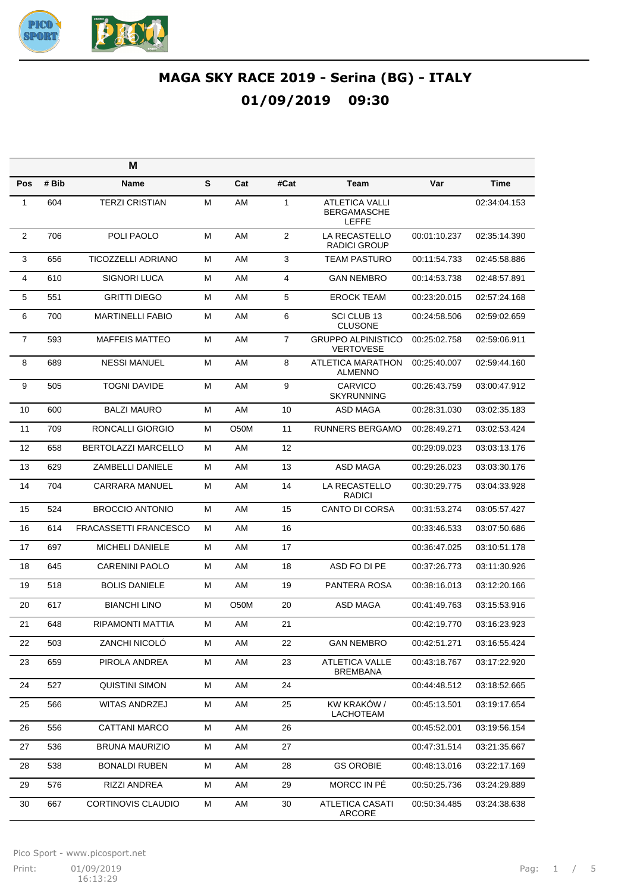

|                |       | M                       |   |                   |                |                                                             |              |              |
|----------------|-------|-------------------------|---|-------------------|----------------|-------------------------------------------------------------|--------------|--------------|
| Pos            | # Bib | Name                    | S | Cat               | #Cat           | <b>Team</b>                                                 | Var          | <b>Time</b>  |
| 1              | 604   | <b>TERZI CRISTIAN</b>   | М | AM                | $\mathbf{1}$   | <b>ATLETICA VALLI</b><br><b>BERGAMASCHE</b><br><b>LEFFE</b> |              | 02:34:04.153 |
| $\overline{2}$ | 706   | POLI PAOLO              | М | AM                | $\overline{2}$ | LA RECASTELLO<br>RADICI GROUP                               | 00:01:10.237 | 02:35:14.390 |
| 3              | 656   | TICOZZELLI ADRIANO      | М | AM                | 3              | <b>TEAM PASTURO</b>                                         | 00:11:54.733 | 02:45:58.886 |
| 4              | 610   | SIGNORI LUCA            | м | AM                | 4              | <b>GAN NEMBRO</b>                                           | 00:14:53.738 | 02:48:57.891 |
| 5              | 551   | <b>GRITTI DIEGO</b>     | м | AM                | 5              | <b>EROCK TEAM</b>                                           | 00:23:20.015 | 02:57:24.168 |
| 6              | 700   | <b>MARTINELLI FABIO</b> | М | AM                | 6              | SCI CLUB 13<br><b>CLUSONE</b>                               | 00:24:58.506 | 02:59:02.659 |
| $\overline{7}$ | 593   | <b>MAFFEIS MATTEO</b>   | M | AM                | $\overline{7}$ | <b>GRUPPO ALPINISTICO</b><br><b>VERTOVESE</b>               | 00:25:02.758 | 02:59:06.911 |
| 8              | 689   | <b>NESSI MANUEL</b>     | м | AM                | 8              | ATLETICA MARATHON<br><b>ALMENNO</b>                         | 00:25:40.007 | 02:59:44.160 |
| 9              | 505   | <b>TOGNI DAVIDE</b>     | М | AM                | 9              | CARVICO<br><b>SKYRUNNING</b>                                | 00:26:43.759 | 03:00:47.912 |
| 10             | 600   | <b>BALZI MAURO</b>      | М | AM                | 10             | ASD MAGA                                                    | 00:28:31.030 | 03:02:35.183 |
| 11             | 709   | RONCALLI GIORGIO        | м | O <sub>5</sub> 0M | 11             | <b>RUNNERS BERGAMO</b>                                      | 00:28:49.271 | 03:02:53.424 |
| 12             | 658   | BERTOLAZZI MARCELLO     | М | AM                | 12             |                                                             | 00:29:09.023 | 03:03:13.176 |
| 13             | 629   | <b>ZAMBELLI DANIELE</b> | Μ | AM                | 13             | <b>ASD MAGA</b>                                             | 00:29:26.023 | 03:03:30.176 |
| 14             | 704   | <b>CARRARA MANUEL</b>   | М | AM                | 14             | LA RECASTELLO<br><b>RADICI</b>                              | 00:30:29.775 | 03:04:33.928 |
| 15             | 524   | <b>BROCCIO ANTONIO</b>  | М | AM                | 15             | <b>CANTO DI CORSA</b>                                       | 00:31:53.274 | 03:05:57.427 |
| 16             | 614   | FRACASSETTI FRANCESCO   | м | AM                | 16             |                                                             | 00:33:46.533 | 03:07:50.686 |
| 17             | 697   | <b>MICHELI DANIELE</b>  | М | AM                | 17             |                                                             | 00:36:47.025 | 03:10:51.178 |
| 18             | 645   | <b>CARENINI PAOLO</b>   | м | AM                | 18             | ASD FO DI PE                                                | 00:37:26.773 | 03:11:30.926 |
| 19             | 518   | <b>BOLIS DANIELE</b>    | М | AM                | 19             | PANTERA ROSA                                                | 00:38:16.013 | 03:12:20.166 |
| 20             | 617   | <b>BIANCHI LINO</b>     | Μ | O50M              | 20             | ASD MAGA                                                    | 00:41:49.763 | 03:15:53.916 |
| 21             | 648   | RIPAMONTI MATTIA        | М | AM                | 21             |                                                             | 00:42:19.770 | 03:16:23.923 |
| 22             | 503   | ZANCHI NICOLO           | М | AM                | 22             | <b>GAN NEMBRO</b>                                           | 00:42:51.271 | 03:16:55.424 |
| 23             | 659   | PIROLA ANDREA           | М | AM                | 23             | <b>ATLETICA VALLE</b><br><b>BREMBANA</b>                    | 00:43:18.767 | 03:17:22.920 |
| 24             | 527   | <b>QUISTINI SIMON</b>   | M | AM                | 24             |                                                             | 00:44:48.512 | 03:18:52.665 |
| 25             | 566   | WITAS ANDRZEJ           | М | AM                | 25             | KW KRAKÓW /<br>LACHOTEAM                                    | 00:45:13.501 | 03:19:17.654 |
| 26             | 556   | <b>CATTANI MARCO</b>    | М | AM                | 26             |                                                             | 00:45:52.001 | 03:19:56.154 |
| 27             | 536   | <b>BRUNA MAURIZIO</b>   | М | AM                | 27             |                                                             | 00:47:31.514 | 03:21:35.667 |
| 28             | 538   | <b>BONALDI RUBEN</b>    | М | AM                | 28             | <b>GS OROBIE</b>                                            | 00:48:13.016 | 03:22:17.169 |
| 29             | 576   | RIZZI ANDREA            | М | AM                | 29             | MORCC IN PE                                                 | 00:50:25.736 | 03:24:29.889 |
| 30             | 667   | CORTINOVIS CLAUDIO      | М | AM                | 30             | <b>ATLETICA CASATI</b><br>ARCORE                            | 00:50:34.485 | 03:24:38.638 |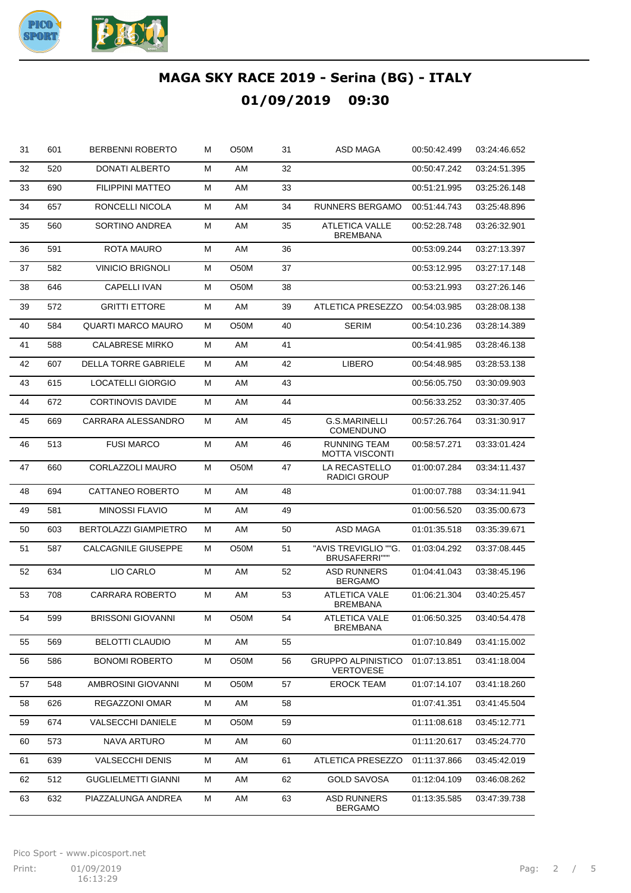

| 31 | 601 | <b>BERBENNI ROBERTO</b>      | м | O50M | 31 | ASD MAGA                                      | 00:50:42.499 | 03:24:46.652 |
|----|-----|------------------------------|---|------|----|-----------------------------------------------|--------------|--------------|
| 32 | 520 | DONATI ALBERTO               | м | AM   | 32 |                                               | 00:50:47.242 | 03:24:51.395 |
| 33 | 690 | <b>FILIPPINI MATTEO</b>      | М | AM   | 33 |                                               | 00:51:21.995 | 03:25:26.148 |
| 34 | 657 | RONCELLI NICOLA              | м | AM   | 34 | <b>RUNNERS BERGAMO</b>                        | 00:51:44.743 | 03:25:48.896 |
| 35 | 560 | SORTINO ANDREA               | М | AM   | 35 | <b>ATLETICA VALLE</b><br><b>BREMBANA</b>      | 00:52:28.748 | 03:26:32.901 |
| 36 | 591 | <b>ROTA MAURO</b>            | м | AM   | 36 |                                               | 00:53:09.244 | 03:27:13.397 |
| 37 | 582 | <b>VINICIO BRIGNOLI</b>      | М | O50M | 37 |                                               | 00:53:12.995 | 03:27:17.148 |
| 38 | 646 | <b>CAPELLI IVAN</b>          | М | O50M | 38 |                                               | 00:53:21.993 | 03:27:26.146 |
| 39 | 572 | <b>GRITTI ETTORE</b>         | М | AM   | 39 | ATLETICA PRESEZZO                             | 00:54:03.985 | 03:28:08.138 |
| 40 | 584 | <b>QUARTI MARCO MAURO</b>    | м | O50M | 40 | <b>SERIM</b>                                  | 00:54:10.236 | 03:28:14.389 |
| 41 | 588 | <b>CALABRESE MIRKO</b>       | м | AM   | 41 |                                               | 00:54:41.985 | 03:28:46.138 |
| 42 | 607 | <b>DELLA TORRE GABRIELE</b>  | м | AM   | 42 | <b>LIBERO</b>                                 | 00:54:48.985 | 03:28:53.138 |
| 43 | 615 | LOCATELLI GIORGIO            | м | AM   | 43 |                                               | 00:56:05.750 | 03:30:09.903 |
| 44 | 672 | <b>CORTINOVIS DAVIDE</b>     | м | AM   | 44 |                                               | 00:56:33.252 | 03:30:37.405 |
| 45 | 669 | CARRARA ALESSANDRO           | м | AM   | 45 | G.S.MARINELLI<br><b>COMENDUNO</b>             | 00:57:26.764 | 03:31:30.917 |
| 46 | 513 | <b>FUSI MARCO</b>            | М | AM   | 46 | <b>RUNNING TEAM</b><br><b>MOTTA VISCONTI</b>  | 00:58:57.271 | 03:33:01.424 |
| 47 | 660 | CORLAZZOLI MAURO             | м | O50M | 47 | LA RECASTELLO<br><b>RADICI GROUP</b>          | 01:00:07.284 | 03:34:11.437 |
| 48 | 694 | CATTANEO ROBERTO             | м | AM   | 48 |                                               | 01:00:07.788 | 03:34:11.941 |
| 49 | 581 | <b>MINOSSI FLAVIO</b>        | м | AM   | 49 |                                               | 01:00:56.520 | 03:35:00.673 |
| 50 | 603 | <b>BERTOLAZZI GIAMPIETRO</b> | м | AM   | 50 | <b>ASD MAGA</b>                               | 01:01:35.518 | 03:35:39.671 |
| 51 | 587 | CALCAGNILE GIUSEPPE          | м | O50M | 51 | "AVIS TREVIGLIO ""G.<br>BRUSAFERRI"""         | 01:03:04.292 | 03:37:08.445 |
| 52 | 634 | LIO CARLO                    | М | AM   | 52 | <b>ASD RUNNERS</b><br><b>BERGAMO</b>          | 01:04:41.043 | 03:38:45.196 |
| 53 | 708 | <b>CARRARA ROBERTO</b>       | м | AM   | 53 | <b>ATLETICA VALE</b><br><b>BREMBANA</b>       | 01:06:21.304 | 03:40:25.457 |
| 54 | 599 | <b>BRISSONI GIOVANNI</b>     | м | O50M | 54 | <b>ATLETICA VALE</b><br>BREMBANA              | 01:06:50.325 | 03:40:54.478 |
| 55 | 569 | <b>BELOTTI CLAUDIO</b>       | м | AM   | 55 |                                               | 01:07:10.849 | 03:41:15.002 |
| 56 | 586 | <b>BONOMI ROBERTO</b>        | м | O50M | 56 | <b>GRUPPO ALPINISTICO</b><br><b>VERTOVESE</b> | 01:07:13.851 | 03:41:18.004 |
| 57 | 548 | AMBROSINI GIOVANNI           | м | O50M | 57 | <b>EROCK TEAM</b>                             | 01:07:14.107 | 03:41:18.260 |
| 58 | 626 | REGAZZONI OMAR               | м | AM   | 58 |                                               | 01:07:41.351 | 03:41:45.504 |
| 59 | 674 | <b>VALSECCHI DANIELE</b>     | м | O50M | 59 |                                               | 01:11:08.618 | 03:45:12.771 |
| 60 | 573 | NAVA ARTURO                  | M | AM   | 60 |                                               | 01:11:20.617 | 03:45:24.770 |
| 61 | 639 | <b>VALSECCHI DENIS</b>       | м | AM   | 61 | ATLETICA PRESEZZO                             | 01:11:37.866 | 03:45:42.019 |
| 62 | 512 | <b>GUGLIELMETTI GIANNI</b>   | м | AM   | 62 | <b>GOLD SAVOSA</b>                            | 01:12:04.109 | 03:46:08.262 |
| 63 | 632 | PIAZZALUNGA ANDREA           | м | AM   | 63 | <b>ASD RUNNERS</b><br><b>BERGAMO</b>          | 01:13:35.585 | 03:47:39.738 |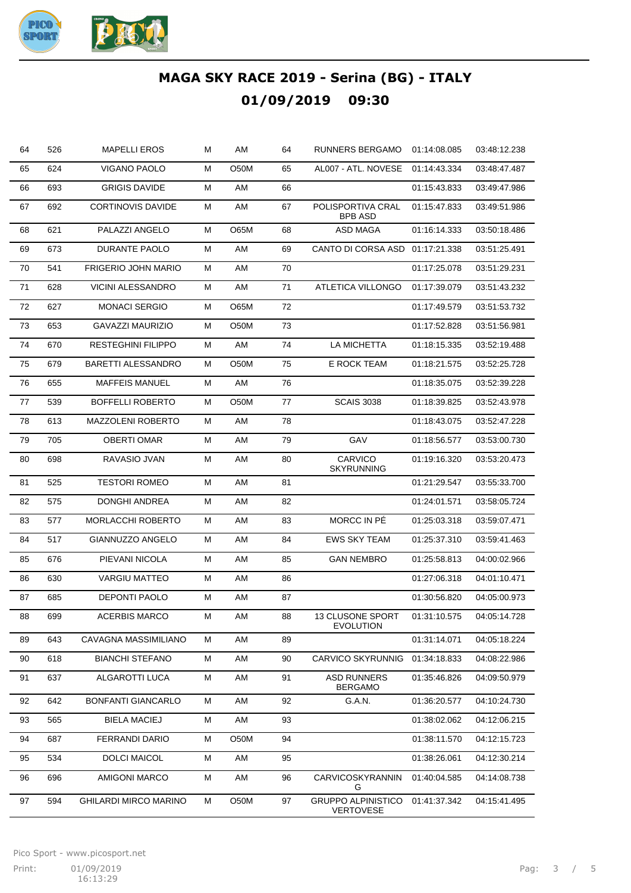

| 64 | 526 | <b>MAPELLI EROS</b>        | Μ | AM   | 64 | <b>RUNNERS BERGAMO</b>                        | 01:14:08.085 | 03:48:12.238 |
|----|-----|----------------------------|---|------|----|-----------------------------------------------|--------------|--------------|
| 65 | 624 | VIGANO PAOLO               | м | O50M | 65 | AL007 - ATL. NOVESE                           | 01:14:43.334 | 03:48:47.487 |
| 66 | 693 | <b>GRIGIS DAVIDE</b>       | Μ | AM   | 66 |                                               | 01:15:43.833 | 03:49:47.986 |
| 67 | 692 | <b>CORTINOVIS DAVIDE</b>   | м | AM   | 67 | POLISPORTIVA CRAL<br><b>BPB ASD</b>           | 01:15:47.833 | 03:49:51.986 |
| 68 | 621 | PALAZZI ANGELO             | Μ | O65M | 68 | ASD MAGA                                      | 01:16:14.333 | 03:50:18.486 |
| 69 | 673 | DURANTE PAOLO              | Μ | AM   | 69 | CANTO DI CORSA ASD 01:17:21.338               |              | 03:51:25.491 |
| 70 | 541 | <b>FRIGERIO JOHN MARIO</b> | Μ | AM   | 70 |                                               | 01:17:25.078 | 03:51:29.231 |
| 71 | 628 | <b>VICINI ALESSANDRO</b>   | M | AM   | 71 | ATLETICA VILLONGO                             | 01:17:39.079 | 03:51:43.232 |
| 72 | 627 | <b>MONACI SERGIO</b>       | Μ | O65M | 72 |                                               | 01:17:49.579 | 03:51:53.732 |
| 73 | 653 | <b>GAVAZZI MAURIZIO</b>    | Μ | O50M | 73 |                                               | 01:17:52.828 | 03:51:56.981 |
| 74 | 670 | <b>RESTEGHINI FILIPPO</b>  | Μ | AM   | 74 | LA MICHETTA                                   | 01:18:15.335 | 03:52:19.488 |
| 75 | 679 | <b>BARETTI ALESSANDRO</b>  | Μ | O50M | 75 | E ROCK TEAM                                   | 01:18:21.575 | 03:52:25.728 |
| 76 | 655 | <b>MAFFEIS MANUEL</b>      | M | AM   | 76 |                                               | 01:18:35.075 | 03:52:39.228 |
| 77 | 539 | <b>BOFFELLI ROBERTO</b>    | Μ | O50M | 77 | <b>SCAIS 3038</b>                             | 01:18:39.825 | 03:52:43.978 |
| 78 | 613 | <b>MAZZOLENI ROBERTO</b>   | Μ | AM   | 78 |                                               | 01:18:43.075 | 03:52:47.228 |
| 79 | 705 | <b>OBERTI OMAR</b>         | M | AM   | 79 | GAV                                           | 01:18:56.577 | 03:53:00.730 |
| 80 | 698 | RAVASIO JVAN               | Μ | AM   | 80 | CARVICO<br><b>SKYRUNNING</b>                  | 01:19:16.320 | 03:53:20.473 |
| 81 | 525 | <b>TESTORI ROMEO</b>       | Μ | AM   | 81 |                                               | 01:21:29.547 | 03:55:33.700 |
| 82 | 575 | <b>DONGHI ANDREA</b>       | Μ | AM   | 82 |                                               | 01:24:01.571 | 03:58:05.724 |
| 83 | 577 | <b>MORLACCHI ROBERTO</b>   | М | AM   | 83 | MORCC IN PÉ                                   | 01:25:03.318 | 03:59:07.471 |
| 84 | 517 | GIANNUZZO ANGELO           | М | AM   | 84 | <b>EWS SKY TEAM</b>                           | 01:25:37.310 | 03:59:41.463 |
| 85 | 676 | PIEVANI NICOLA             | М | AM   | 85 | <b>GAN NEMBRO</b>                             | 01:25:58.813 | 04:00:02.966 |
| 86 | 630 | <b>VARGIU MATTEO</b>       | М | AM   | 86 |                                               | 01:27:06.318 | 04:01:10.471 |
| 87 | 685 | DEPONTI PAOLO              | М | AM   | 87 |                                               | 01:30:56.820 | 04:05:00.973 |
| 88 | 699 | <b>ACERBIS MARCO</b>       | м | AM   | 88 | 13 CLUSONE SPORT<br><b>EVOLUTION</b>          | 01:31:10.575 | 04:05:14.728 |
| 89 | 643 | CAVAGNA MASSIMILIANO       | Μ | AM   | 89 |                                               | 01:31:14.071 | 04:05:18.224 |
| 90 | 618 | <b>BIANCHI STEFANO</b>     | Μ | AM   | 90 | <b>CARVICO SKYRUNNIG</b>                      | 01:34:18.833 | 04:08:22.986 |
| 91 | 637 | ALGAROTTI LUCA             | М | AM   | 91 | <b>ASD RUNNERS</b><br><b>BERGAMO</b>          | 01:35:46.826 | 04:09:50.979 |
| 92 | 642 | <b>BONFANTI GIANCARLO</b>  | М | AM   | 92 | G.A.N.                                        | 01:36:20.577 | 04:10:24.730 |
| 93 | 565 | <b>BIELA MACIEJ</b>        | М | AM   | 93 |                                               | 01:38:02.062 | 04:12:06.215 |
| 94 | 687 | <b>FERRANDI DARIO</b>      | М | O50M | 94 |                                               | 01:38:11.570 | 04:12:15.723 |
| 95 | 534 | <b>DOLCI MAICOL</b>        | М | AM   | 95 |                                               | 01:38:26.061 | 04:12:30.214 |
| 96 | 696 | <b>AMIGONI MARCO</b>       | М | AM   | 96 | <b>CARVICOSKYRANNIN</b><br>G                  | 01:40:04.585 | 04:14:08.738 |
| 97 | 594 | GHILARDI MIRCO MARINO      | М | O50M | 97 | <b>GRUPPO ALPINISTICO</b><br><b>VERTOVESE</b> | 01:41:37.342 | 04:15:41.495 |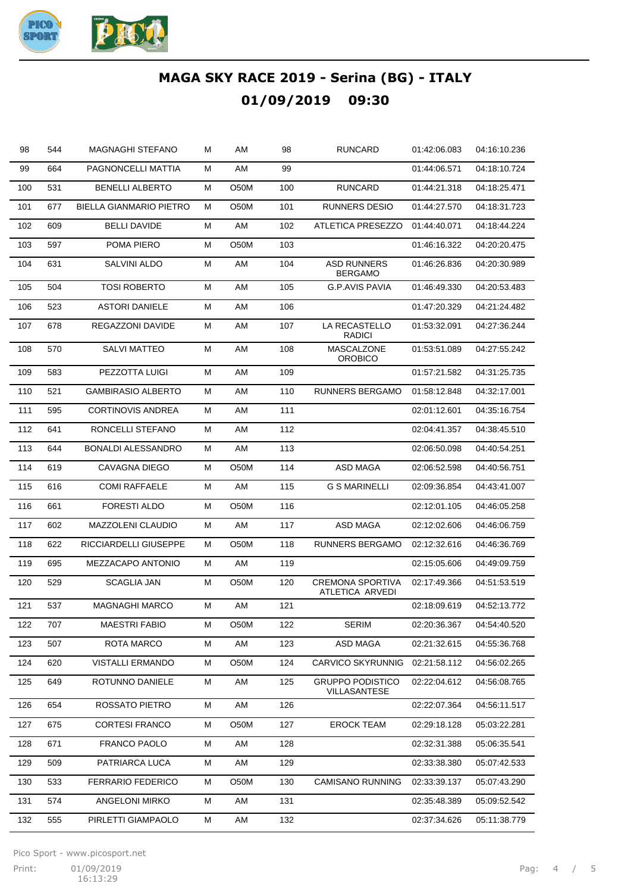

| 98  | 544 | <b>MAGNAGHI STEFANO</b>        | М | AM   | 98  | <b>RUNCARD</b>                             | 01:42:06.083 | 04:16:10.236 |
|-----|-----|--------------------------------|---|------|-----|--------------------------------------------|--------------|--------------|
| 99  | 664 | PAGNONCELLI MATTIA             | Μ | AM   | 99  |                                            | 01:44:06.571 | 04:18:10.724 |
| 100 | 531 | <b>BENELLI ALBERTO</b>         | Μ | O50M | 100 | <b>RUNCARD</b>                             | 01:44:21.318 | 04:18:25.471 |
| 101 | 677 | <b>BIELLA GIANMARIO PIETRO</b> | М | O50M | 101 | <b>RUNNERS DESIO</b>                       | 01:44:27.570 | 04:18:31.723 |
| 102 | 609 | <b>BELLI DAVIDE</b>            | Μ | AM   | 102 | ATLETICA PRESEZZO                          | 01:44:40.071 | 04:18:44.224 |
| 103 | 597 | POMA PIERO                     | Μ | O50M | 103 |                                            | 01:46:16.322 | 04:20:20.475 |
| 104 | 631 | SALVINI ALDO                   | Μ | AM   | 104 | <b>ASD RUNNERS</b><br><b>BERGAMO</b>       | 01:46:26.836 | 04:20:30.989 |
| 105 | 504 | <b>TOSI ROBERTO</b>            | Μ | AM   | 105 | G.P.AVIS PAVIA                             | 01:46:49.330 | 04:20:53.483 |
| 106 | 523 | <b>ASTORI DANIELE</b>          | Μ | AM   | 106 |                                            | 01:47:20.329 | 04:21:24.482 |
| 107 | 678 | REGAZZONI DAVIDE               | Μ | AM   | 107 | LA RECASTELLO<br><b>RADICI</b>             | 01:53:32.091 | 04:27:36.244 |
| 108 | 570 | <b>SALVI MATTEO</b>            | Μ | AM   | 108 | MASCALZONE<br><b>OROBICO</b>               | 01:53:51.089 | 04:27:55.242 |
| 109 | 583 | PEZZOTTA LUIGI                 | Μ | AM   | 109 |                                            | 01:57:21.582 | 04:31:25.735 |
| 110 | 521 | <b>GAMBIRASIO ALBERTO</b>      | Μ | AM   | 110 | <b>RUNNERS BERGAMO</b>                     | 01:58:12.848 | 04:32:17.001 |
| 111 | 595 | <b>CORTINOVIS ANDREA</b>       | Μ | AM   | 111 |                                            | 02:01:12.601 | 04:35:16.754 |
| 112 | 641 | RONCELLI STEFANO               | М | AM   | 112 |                                            | 02:04:41.357 | 04:38:45.510 |
| 113 | 644 | <b>BONALDI ALESSANDRO</b>      | Μ | AM   | 113 |                                            | 02:06:50.098 | 04:40:54.251 |
| 114 | 619 | CAVAGNA DIEGO                  | Μ | O50M | 114 | <b>ASD MAGA</b>                            | 02:06:52.598 | 04:40:56.751 |
| 115 | 616 | <b>COMI RAFFAELE</b>           | Μ | AM   | 115 | <b>G S MARINELLI</b>                       | 02:09:36.854 | 04:43:41.007 |
| 116 | 661 | <b>FORESTI ALDO</b>            | Μ | O50M | 116 |                                            | 02:12:01.105 | 04:46:05.258 |
| 117 | 602 | MAZZOLENI CLAUDIO              | М | AM   | 117 | <b>ASD MAGA</b>                            | 02:12:02.606 | 04:46:06.759 |
| 118 | 622 | RICCIARDELLI GIUSEPPE          | Μ | O50M | 118 | RUNNERS BERGAMO                            | 02:12:32.616 | 04:46:36.769 |
| 119 | 695 | MEZZACAPO ANTONIO              | Μ | AM   | 119 |                                            | 02:15:05.606 | 04:49:09.759 |
| 120 | 529 | <b>SCAGLIA JAN</b>             | Μ | O50M | 120 | <b>CREMONA SPORTIVA</b><br>ATLETICA ARVEDI | 02:17:49.366 | 04:51:53.519 |
| 121 | 537 | <b>MAGNAGHI MARCO</b>          | Μ | AM   | 121 |                                            | 02:18:09.619 | 04:52:13.772 |
| 122 | 707 | <b>MAESTRI FABIO</b>           | M | O50M | 122 | <b>SERIM</b>                               | 02:20:36.367 | 04:54:40.520 |
| 123 | 507 | ROTA MARCO                     | M | AM   | 123 | ASD MAGA                                   | 02:21:32.615 | 04:55:36.768 |
| 124 | 620 | VISTALLI ERMANDO               | M | O50M | 124 | CARVICO SKYRUNNIG                          | 02:21:58.112 | 04:56:02.265 |
| 125 | 649 | ROTUNNO DANIELE                | М | AM   | 125 | GRUPPO PODISTICO<br>VILLASANTESE           | 02:22:04.612 | 04:56:08.765 |
| 126 | 654 | ROSSATO PIETRO                 | M | AM   | 126 |                                            | 02:22:07.364 | 04:56:11.517 |
| 127 | 675 | <b>CORTESI FRANCO</b>          | М | O50M | 127 | <b>EROCK TEAM</b>                          | 02:29:18.128 | 05:03:22.281 |
| 128 | 671 | FRANCO PAOLO                   | М | AM   | 128 |                                            | 02:32:31.388 | 05:06:35.541 |
| 129 | 509 | PATRIARCA LUCA                 | М | AM   | 129 |                                            | 02:33:38.380 | 05:07:42.533 |
| 130 | 533 | FERRARIO FEDERICO              | М | O50M | 130 | CAMISANO RUNNING                           | 02:33:39.137 | 05:07:43.290 |
| 131 | 574 | ANGELONI MIRKO                 | М | AM   | 131 |                                            | 02:35:48.389 | 05:09:52.542 |
| 132 | 555 | PIRLETTI GIAMPAOLO             | M | AM   | 132 |                                            | 02:37:34.626 | 05:11:38.779 |

Pico Sport - www.picosport.net